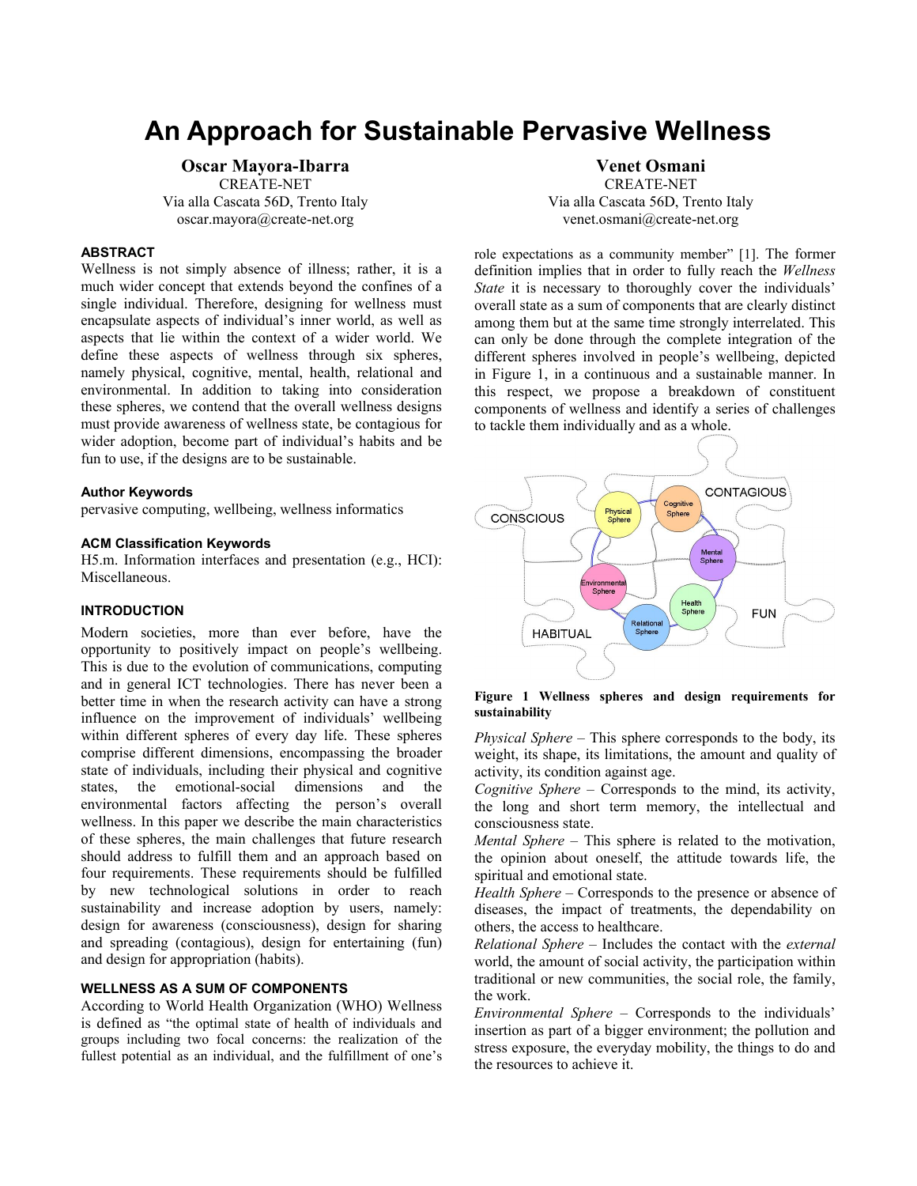# **An Approach for Sustainable Pervasive Wellness**

# **Oscar Mayora-Ibarra**

CREATE-NET Via alla Cascata 56D, Trento Italy oscar.mayora@create-net.org

# **ABSTRACT**

Wellness is not simply absence of illness; rather, it is a much wider concept that extends beyond the confines of a single individual. Therefore, designing for wellness must encapsulate aspects of individual's inner world, as well as aspects that lie within the context of a wider world. We define these aspects of wellness through six spheres, namely physical, cognitive, mental, health, relational and environmental. In addition to taking into consideration these spheres, we contend that the overall wellness designs must provide awareness of wellness state, be contagious for wider adoption, become part of individual's habits and be fun to use, if the designs are to be sustainable.

#### **Author Keywords**

pervasive computing, wellbeing, wellness informatics

## **ACM Classification Keywords**

H5.m. Information interfaces and presentation (e.g., HCI): Miscellaneous.

# **INTRODUCTION**

Modern societies, more than ever before, have the opportunity to positively impact on people's wellbeing. This is due to the evolution of communications, computing and in general ICT technologies. There has never been a better time in when the research activity can have a strong influence on the improvement of individuals' wellbeing within different spheres of every day life. These spheres comprise different dimensions, encompassing the broader state of individuals, including their physical and cognitive states, the emotional-social dimensions and the environmental factors affecting the person's overall wellness. In this paper we describe the main characteristics of these spheres, the main challenges that future research should address to fulfill them and an approach based on four requirements. These requirements should be fulfilled by new technological solutions in order to reach sustainability and increase adoption by users, namely: design for awareness (consciousness), design for sharing and spreading (contagious), design for entertaining (fun) and design for appropriation (habits).

# **WELLNESS AS A SUM OF COMPONENTS**

According to World Health Organization (WHO) Wellness is defined as "the optimal state of health of individuals and groups including two focal concerns: the realization of the fullest potential as an individual, and the fulfillment of one's

# **Venet Osmani**

CREATE-NET Via alla Cascata 56D, Trento Italy venet.osmani@create-net.org

role expectations as a community member" [1]. The former definition implies that in order to fully reach the *Wellness State* it is necessary to thoroughly cover the individuals' overall state as a sum of components that are clearly distinct among them but at the same time strongly interrelated. This can only be done through the complete integration of the different spheres involved in people's wellbeing, depicted in Figure 1, in a continuous and a sustainable manner. In this respect, we propose a breakdown of constituent components of wellness and identify a series of challenges to tackle them individually and as a whole.



**Figure 1 Wellness spheres and design requirements for sustainability** 

*Physical Sphere* – This sphere corresponds to the body, its weight, its shape, its limitations, the amount and quality of activity, its condition against age.

*Cognitive Sphere* – Corresponds to the mind, its activity, the long and short term memory, the intellectual and consciousness state.

*Mental Sphere* – This sphere is related to the motivation, the opinion about oneself, the attitude towards life, the spiritual and emotional state.

*Health Sphere* – Corresponds to the presence or absence of diseases, the impact of treatments, the dependability on others, the access to healthcare.

*Relational Sphere* – Includes the contact with the *external* world, the amount of social activity, the participation within traditional or new communities, the social role, the family, the work.

*Environmental Sphere* – Corresponds to the individuals' insertion as part of a bigger environment; the pollution and stress exposure, the everyday mobility, the things to do and the resources to achieve it.